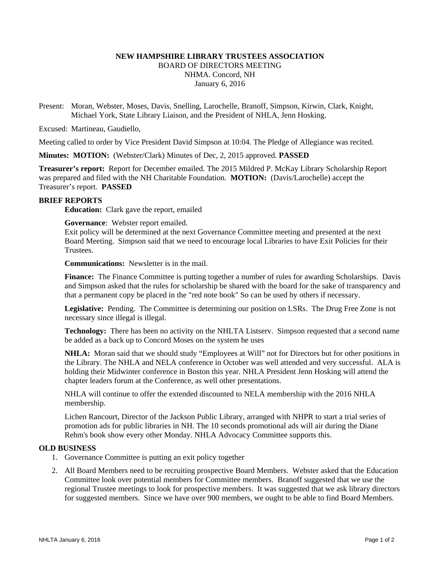# **NEW HAMPSHIRE LIBRARY TRUSTEES ASSOCIATION**  BOARD OF DIRECTORS MEETING NHMA. Concord, NH January 6, 2016

Present: Moran, Webster, Moses, Davis, Snelling, Larochelle, Branoff, Simpson, Kirwin, Clark, Knight, Michael York, State Library Liaison, and the President of NHLA, Jenn Hosking.

Excused: Martineau, Gaudiello,

Meeting called to order by Vice President David Simpson at 10:04. The Pledge of Allegiance was recited.

**Minutes: MOTION:** (Webster/Clark) Minutes of Dec, 2, 2015 approved. **PASSED**

**Treasurer's report:** Report for December emailed. The 2015 Mildred P. McKay Library Scholarship Report was prepared and filed with the NH Charitable Foundation. **MOTION:** (Davis/Larochelle) accept the Treasurer's report. **PASSED**

#### **BRIEF REPORTS**

**Education:** Clark gave the report, emailed

**Governance**: Webster report emailed.

Exit policy will be determined at the next Governance Committee meeting and presented at the next Board Meeting. Simpson said that we need to encourage local Libraries to have Exit Policies for their Trustees.

**Communications:** Newsletter is in the mail.

**Finance:** The Finance Committee is putting together a number of rules for awarding Scholarships. Davis and Simpson asked that the rules for scholarship be shared with the board for the sake of transparency and that a permanent copy be placed in the "red note book" So can be used by others if necessary.

Legislative: Pending. The Committee is determining our position on LSRs. The Drug Free Zone is not necessary since illegal is illegal.

**Technology:** There has been no activity on the NHLTA Listserv. Simpson requested that a second name be added as a back up to Concord Moses on the system he uses

**NHLA:** Moran said that we should study "Employees at Will" not for Directors but for other positions in the Library. The NHLA and NELA conference in October was well attended and very successful. ALA is holding their Midwinter conference in Boston this year. NHLA President Jenn Hosking will attend the chapter leaders forum at the Conference, as well other presentations.

NHLA will continue to offer the extended discounted to NELA membership with the 2016 NHLA membership.

Lichen Rancourt, Director of the Jackson Public Library, arranged with NHPR to start a trial series of promotion ads for public libraries in NH. The 10 seconds promotional ads will air during the Diane Rehm's book show every other Monday. NHLA Advocacy Committee supports this.

#### **OLD BUSINESS**

- 1. Governance Committee is putting an exit policy together
- 2. All Board Members need to be recruiting prospective Board Members. Webster asked that the Education Committee look over potential members for Committee members. Branoff suggested that we use the regional Trustee meetings to look for prospective members. It was suggested that we ask library directors for suggested members. Since we have over 900 members, we ought to be able to find Board Members.